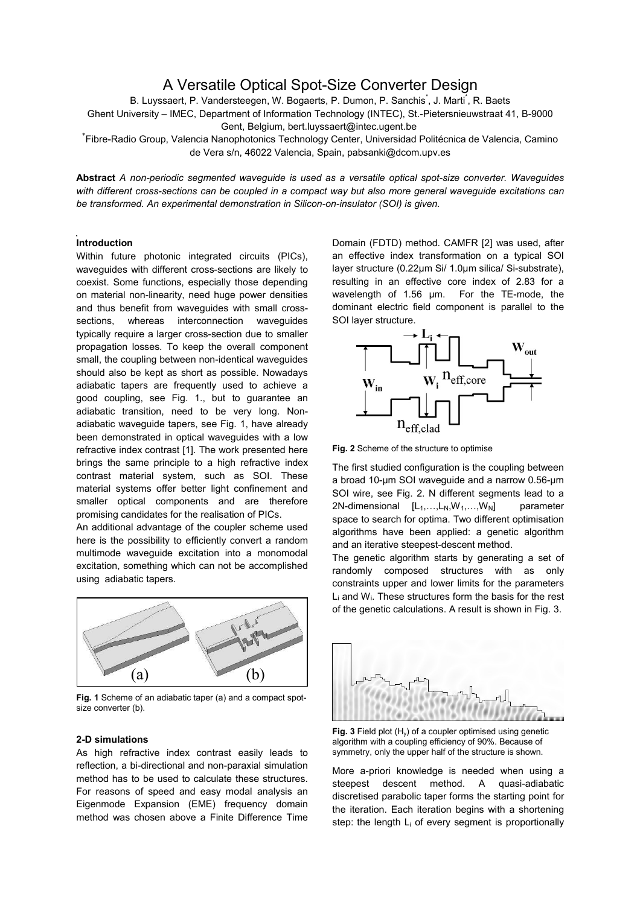# A Versatile Optical Spot-Size Converter Design

B. Luyssaert, P. Vandersteegen, W. Bogaerts, P. Dumon, P. Sanchis<sup>\*</sup>, J. Marti<sup>\*</sup>, R. Baets

Ghent University – IMEC, Department of Information Technology (INTEC), St.-Pietersnieuwstraat 41, B-9000 Gent, Belgium, bert.luyssaert@intec.ugent.be

\* Fibre-Radio Group, Valencia Nanophotonics Technology Center, Universidad Politécnica de Valencia, Camino de Vera s/n, 46022 Valencia, Spain, [pabsanki@dcom.upv.es](mailto:pabsanki@dcom.upv.es)

**Abstract** *A non-periodic segmented waveguide is used as a versatile optical spot-size converter. Waveguides with different cross-sections can be coupled in a compact way but also more general waveguide excitations can be transformed. An experimental demonstration in Silicon-on-insulator (SOI) is given.*

## **Introduction**

Within future photonic integrated circuits (PICs), waveguides with different cross-sections are likely to coexist. Some functions, especially those depending on material non-linearity, need huge power densities and thus benefit from waveguides with small crosssections, whereas interconnection waveguides typically require a larger cross-section due to smaller propagation losses. To keep the overall component small, the coupling between non-identical waveguides should also be kept as short as possible. Nowadays adiabatic tapers are frequently used to achieve a good coupling, see [Fig. 1.](#page-0-0), but to guarantee an adiabatic transition, need to be very long. Nonadiabatic waveguide tapers, see [Fig. 1,](#page-0-0) have already been demonstrated in optical waveguides with a low refractive index contrast [\[1\]](#page-1-0). The work presented here brings the same principle to a high refractive index contrast material system, such as SOI. These material systems offer better light confinement and smaller optical components and are therefore promising candidates for the realisation of PICs.

An additional advantage of the coupler scheme used here is the possibility to efficiently convert a random multimode waveguide excitation into a monomodal excitation, something which can not be accomplished using adiabatic tapers.



<span id="page-0-0"></span>**Fig. 1** Scheme of an adiabatic taper (a) and a compact spotsize converter (b).

## **2-D simulations**

As high refractive index contrast easily leads to reflection, a bi-directional and non-paraxial simulation method has to be used to calculate these structures. For reasons of speed and easy modal analysis an Eigenmode Expansion (EME) frequency domain method was chosen above a Finite Difference Time Domain (FDTD) method. CAMFR [[2\]](#page-1-1) was used, after an effective index transformation on a typical SOI layer structure (0.22µm Si/ 1.0µm silica/ Si-substrate), resulting in an effective core index of 2.83 for a wavelength of 1.56 um. For the TE-mode, the dominant electric field component is parallel to the SOI layer structure.



<span id="page-0-1"></span>**Fig. 2** Scheme of the structure to optimise

The first studied configuration is the coupling between a broad 10-µm SOI waveguide and a narrow 0.56-µm SOI wire, see [Fig. 2.](#page-0-1) N different segments lead to a 2N-dimensional  $[L_1,...,L_N,W_1,...,W_N]$  parameter space to search for optima. Two different optimisation algorithms have been applied: a genetic algorithm and an iterative steepest-descent method.

The genetic algorithm starts by generating a set of randomly composed structures with as only constraints upper and lower limits for the parameters Li and Wi. These structures form the basis for the rest of the genetic calculations. A result is shown in [Fig. 3.](#page-0-2)



<span id="page-0-2"></span>

More a-priori knowledge is needed when using a steepest descent method. A quasi-adiabatic discretised parabolic taper forms the starting point for the iteration. Each iteration begins with a shortening step: the length  $L_i$  of every segment is proportionally